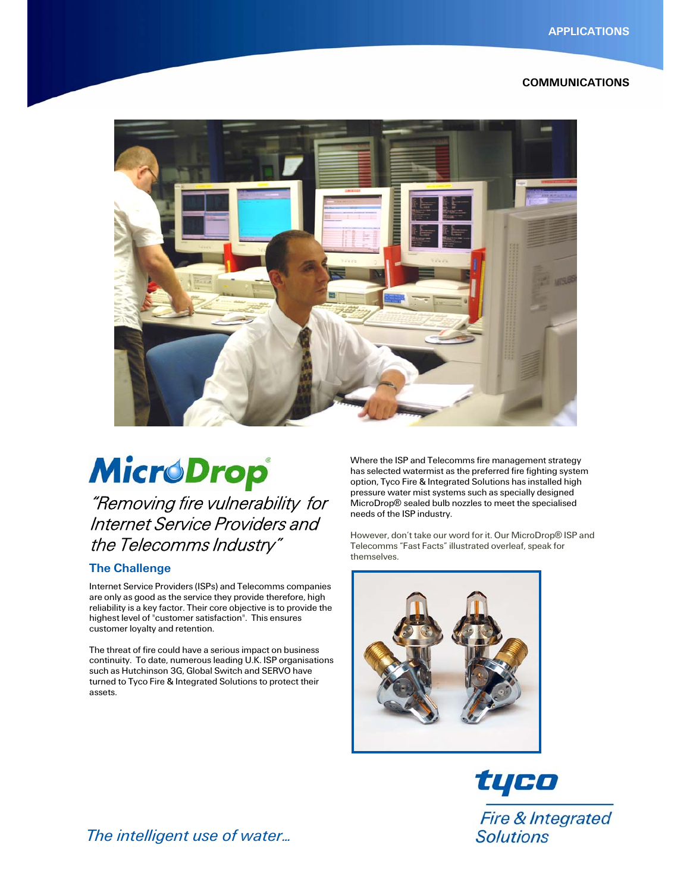### COMMUNICATIONS



# **MicroDrop**

"Removing fire vulnerability for Internet Service Providers and the Telecomms Industry"

# The Challenge

Internet Service Providers (ISPs) and Telecomms companies are only as good as the service they provide therefore, high reliability is a key factor. Their core objective is to provide the highest level of "customer satisfaction". This ensures customer loyalty and retention.

The threat of fire could have a serious impact on business continuity. To date, numerous leading U.K. ISP organisations such as Hutchinson 3G, Global Switch and SERVO have turned to Tyco Fire & Integrated Solutions to protect their assets.

Where the ISP and Telecomms fire management strategy has selected watermist as the preferred fire fighting system option, Tyco Fire & Integrated Solutions has installed high pressure water mist systems such as specially designed MicroDrop® sealed bulb nozzles to meet the specialised needs of the ISP industry.

However, don't take our word for it. Our MicroDrop® ISP and Telecomms "Fast Facts" illustrated overleaf, speak for themselves.



tyco Fire & Integrated **Solutions** 

*The intelligent use of water…*